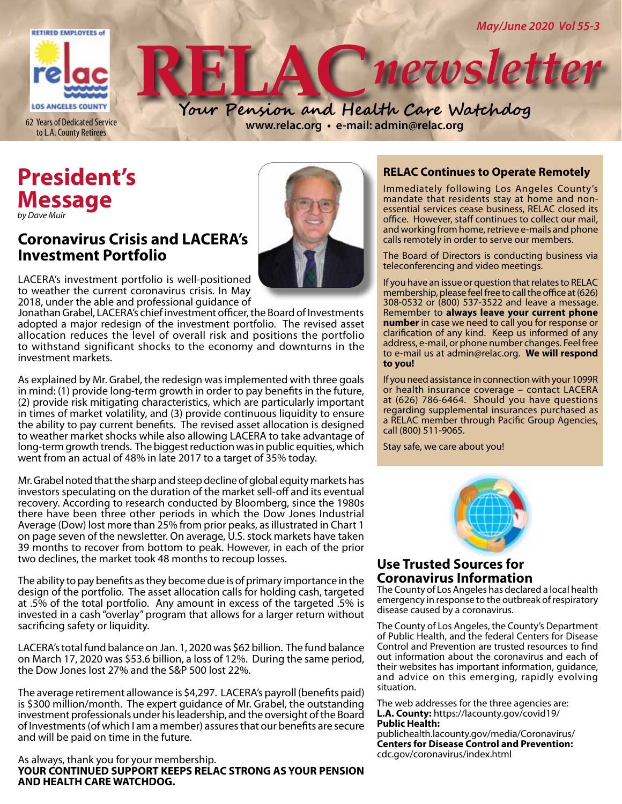

# **President's Message**

*by Dave Muir*

## **Coronavirus Crisis and LACERA's Investment Portfolio**



LACERA's investment portfolio is well-positioned to weather the current coronavirus crisis. In May 2018, under the able and professional guidance of

Jonathan Grabel, LACERA's chief investment officer, the Board of Investments adopted a major redesign of the investment portfolio. The revised asset allocation reduces the level of overall risk and positions the portfolio to withstand significant shocks to the economy and downturns in the investment markets.

As explained by Mr. Grabel, the redesign was implemented with three goals in mind: (1) provide long-term growth in order to pay benefits in the future, (2) provide risk mitigating characteristics, which are particularly important in times of market volatility, and (3) provide continuous liquidity to ensure the ability to pay current benefits. The revised asset allocation is designed to weather market shocks while also allowing LACERA to take advantage of long-term growth trends. The biggest reduction was in public equities, which went from an actual of 48% in late 2017 to a target of 35% today.

Mr. Grabel noted that the sharp and steep decline of global equity markets has investors speculating on the duration of the market sell-off and its eventual recovery. According to research conducted by Bloomberg, since the 1980s there have been three other periods in which the Dow Jones Industrial Average (Dow) lost more than 25% from prior peaks, as illustrated in Chart 1 on page seven of the newsletter. On average, U.S. stock markets have taken 39 months to recover from bottom to peak. However, in each of the prior two declines, the market took 48 months to recoup losses.

The ability to pay benefits as they become due is of primary importance in the design of the portfolio. The asset allocation calls for holding cash, targeted at .5% of the total portfolio. Any amount in excess of the targeted .5% is invested in a cash "overlay" program that allows for a larger return without sacrificing safety or liquidity.

LACERA's total fund balance on Jan. 1, 2020 was \$62 billion. The fund balance on March 17, 2020 was \$53.6 billion, a loss of 12%. During the same period, the Dow Jones lost 27% and the S&P 500 lost 22%.

The average retirement allowance is \$4,297. LACERA's payroll (benefits paid) is \$300 million/month. The expert guidance of Mr. Grabel, the outstanding investment professionals under his leadership, and the oversight of the Board of Investments (of which I am a member) assures that our benefits are secure and will be paid on time in the future.

#### As always, thank you for your membership. **YOUR CONTINUED SUPPORT KEEPS RELAC STRONG AS YOUR PENSION AND HEALTH CARE WATCHDOG.**

#### **RELAC Continues to Operate Remotely**

Immediately following Los Angeles County's mandate that residents stay at home and nonessential services cease business, RELAC closed its office. However, staff continues to collect our mail, and working from home, retrieve e-mails and phone calls remotely in order to serve our members.

The Board of Directors is conducting business via teleconferencing and video meetings.

If you have an issue or question that relates to RELAC membership, please feel free to call the office at (626) 308-0532 or (800) 537-3522 and leave a message. Remember to **always leave your current phone number** in case we need to call you for response or clarification of any kind. Keep us informed of any address, e-mail, or phone number changes. Feel free to e-mail us at admin@relac.org. **We will respond to you!**

If you need assistance in connection with your 1099R or health insurance coverage – contact LACERA at (626) 786-6464. Should you have questions regarding supplemental insurances purchased as a RELAC member through Pacific Group Agencies, call (800) 511-9065.

Stay safe, we care about you!



#### **Use Trusted Sources for Coronavirus Information**

The County of Los Angeles has declared a local health emergency in response to the outbreak of respiratory disease caused by a coronavirus.

The County of Los Angeles, the County's Department of Public Health, and the federal Centers for Disease Control and Prevention are trusted resources to find out information about the coronavirus and each of their websites has important information, guidance, and advice on this emerging, rapidly evolving situation.

The web addresses for the three agencies are: **L.A. County:** https://lacounty.gov/covid19/ **Public Health:** 

publichealth.lacounty.gov/media/Coronavirus/ **Centers for Disease Control and Prevention:**  cdc.gov/coronavirus/index.html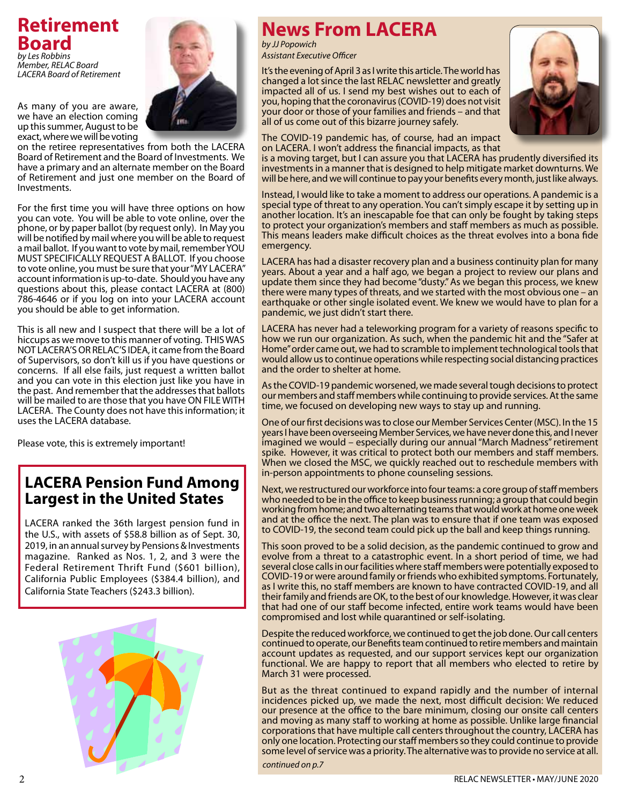# **Retirement Board** *by Les Robbins*

*Member, RELAC Board LACERA Board of Retirement*

As many of you are aware, we have an election coming up this summer, August to be exact, where we will be voting



on the retiree representatives from both the LACERA Board of Retirement and the Board of Investments. We have a primary and an alternate member on the Board of Retirement and just one member on the Board of Investments.

For the first time you will have three options on how you can vote. You will be able to vote online, over the phone, or by paper ballot (by request only). In May you will be notified by mail where you will be able to request a mail ballot. If you want to vote by mail, remember YOU MUST SPECIFICALLY REQUEST A BALLOT. If you choose to vote online, you must be sure that your "MY LACERA" account information is up-to-date. Should you have any questions about this, please contact LACERA at (800) 786-4646 or if you log on into your LACERA account you should be able to get information.

This is all new and I suspect that there will be a lot of hiccups as we move to this manner of voting. THIS WAS NOT LACERA'S OR RELAC'S IDEA, it came from the Board of Supervisors, so don't kill us if you have questions or concerns. If all else fails, just request a written ballot and you can vote in this election just like you have in the past. And remember that the addresses that ballots will be mailed to are those that you have ON FILE WITH LACERA. The County does not have this information; it uses the LACERA database.

Please vote, this is extremely important!

## **LACERA Pension Fund Among Largest in the United States**

LACERA ranked the 36th largest pension fund in the U.S., with assets of \$58.8 billion as of Sept. 30, 2019, in an annual survey by Pensions & Investments magazine. Ranked as Nos. 1, 2, and 3 were the Federal Retirement Thrift Fund (\$601 billion), California Public Employees (\$384.4 billion), and California State Teachers (\$243.3 billion).



# **News From LACERA**

*by JJ Popowich Assistant Executive Officer*

It's the evening of April 3 as I write this article. The world has changed a lot since the last RELAC newsletter and greatly impacted all of us. I send my best wishes out to each of you, hoping that the coronavirus (COVID-19) does not visit your door or those of your families and friends – and that all of us come out of this bizarre journey safely.



The COVID-19 pandemic has, of course, had an impact on LACERA. I won't address the financial impacts, as that

is a moving target, but I can assure you that LACERA has prudently diversified its investments in a manner that is designed to help mitigate market downturns. We will be here, and we will continue to pay your benefits every month, just like always.

Instead, I would like to take a moment to address our operations. A pandemic is a special type of threat to any operation. You can't simply escape it by setting up in another location. It's an inescapable foe that can only be fought by taking steps to protect your organization's members and staff members as much as possible. This means leaders make difficult choices as the threat evolves into a bona fide emergency.

LACERA has had a disaster recovery plan and a business continuity plan for many years. About a year and a half ago, we began a project to review our plans and update them since they had become "dusty." As we began this process, we knew there were many types of threats, and we started with the most obvious one – an earthquake or other single isolated event. We knew we would have to plan for a pandemic, we just didn't start there.

LACERA has never had a teleworking program for a variety of reasons specific to how we run our organization. As such, when the pandemic hit and the "Safer at Home" order came out, we had to scramble to implement technological tools that would allow us to continue operations while respecting social distancing practices and the order to shelter at home.

As the COVID-19 pandemic worsened, we made several tough decisions to protect our members and staff members while continuing to provide services. At the same time, we focused on developing new ways to stay up and running.

One of our first decisions was to close our Member Services Center (MSC). In the 15 years I have been overseeing Member Services, we have never done this, and I never imagined we would – especially during our annual "March Madness" retirement spike. However, it was critical to protect both our members and staff members. When we closed the MSC, we quickly reached out to reschedule members with in-person appointments to phone counseling sessions.

Next, we restructured our workforce into four teams: a core group of staff members who needed to be in the office to keep business running; a group that could begin working from home; and two alternating teams that would work at home one week and at the office the next. The plan was to ensure that if one team was exposed to COVID-19, the second team could pick up the ball and keep things running.

This soon proved to be a solid decision, as the pandemic continued to grow and evolve from a threat to a catastrophic event. In a short period of time, we had several close calls in our facilities where staff members were potentially exposed to COVID-19 or were around family or friends who exhibited symptoms. Fortunately, as I write this, no staff members are known to have contracted COVID-19, and all their family and friends are OK, to the best of our knowledge. However, it was clear that had one of our staff become infected, entire work teams would have been compromised and lost while quarantined or self-isolating.

Despite the reduced workforce, we continued to get the job done. Our call centers continued to operate, our Benefits team continued to retire members and maintain account updates as requested, and our support services kept our organization functional. We are happy to report that all members who elected to retire by March 31 were processed.

But as the threat continued to expand rapidly and the number of internal incidences picked up, we made the next, most difficult decision: We reduced our presence at the office to the bare minimum, closing our onsite call centers and moving as many staff to working at home as possible. Unlike large financial corporations that have multiple call centers throughout the country, LACERA has only one location. Protecting our staff members so they could continue to provide some level of service was a priority. The alternative was to provide no service at all.

*continued on p.7*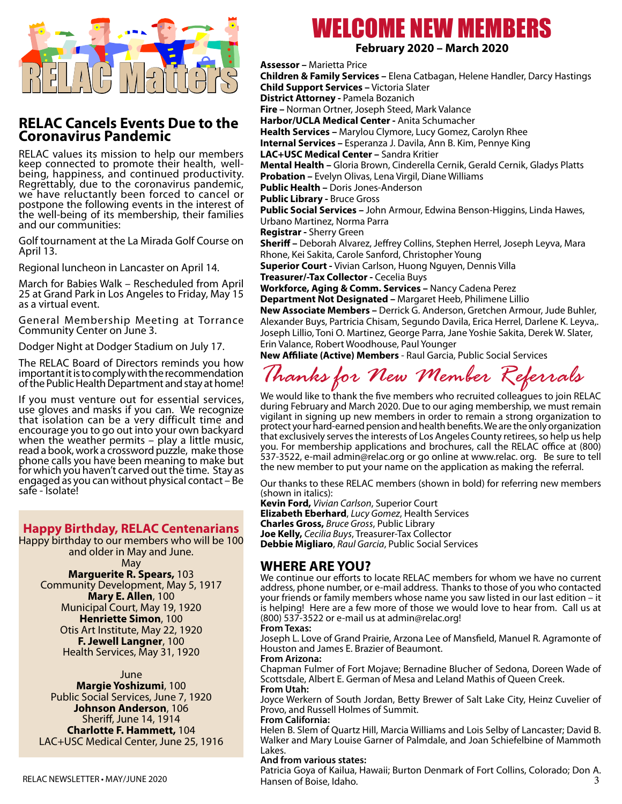

### **RELAC Cancels Events Due to the Coronavirus Pandemic**

RELAC values its mission to help our members<br>keep connected to promote their health, wellbeing, happiness, and continued productivity.<br>Regrettably, due to the coronavirus pandemic, we have reluctantly been forced to cancel or postpone the following events in the interest of the well-being of its membership, their families and our communities:

Golf tournament at the La Mirada Golf Course on April 13.

Regional luncheon in Lancaster on April 14.

March for Babies Walk – Rescheduled from April 25 at Grand Park in Los Angeles to Friday, May 15 as a virtual event.

General Membership Meeting at Torrance Community Center on June 3.

Dodger Night at Dodger Stadium on July 17.

The RELAC Board of Directors reminds you how important it is to comply with the recommendation of the Public Health Department and stay at home!

If you must venture out for essential services, use gloves and masks if you can. We recognize that isolation can be a very difficult time and encourage you to go out into your own backyard when the weather permits  $-$  play a little music, read a book, work a crossword puzzle, make those phone calls you have been meaning to make but for which you haven't carved out the time. Stay as engaged as you can without physical contact – Be safe - Isolate!

#### **Happy Birthday, RELAC Centenarians**

Happy birthday to our members who will be 100 and older in May and June. May

#### **Marguerite R. Spears,** 103

Community Development, May 5, 1917 **Mary E. Allen**, 100 Municipal Court, May 19, 1920 **Henriette Simon**, 100 Otis Art Institute, May 22, 1920 **F. Jewell Langner**, 100

Health Services, May 31, 1920

#### June

**Margie Yoshizumi**, 100 Public Social Services, June 7, 1920 **Johnson Anderson**, 106 Sheriff, June 14, 1914 **Charlotte F. Hammett,** 104 LAC+USC Medical Center, June 25, 1916

# WELCOME NEW MEMBERS

#### **February 2020 – March 2020**

**Assessor –** Marietta Price

**Children & Family Services –** Elena Catbagan, Helene Handler, Darcy Hastings **Child Support Services –** Victoria Slater **District Attorney -** Pamela Bozanich **Fire –** Norman Ortner, Joseph Steed, Mark Valance **Harbor/UCLA Medical Center -** Anita Schumacher **Health Services –** Marylou Clymore, Lucy Gomez, Carolyn Rhee **Internal Services –** Esperanza J. Davila, Ann B. Kim, Pennye King **LAC+USC Medical Center –** Sandra Kritier **Mental Health –** Gloria Brown, Cinderella Cernik, Gerald Cernik, Gladys Platts **Probation –** Evelyn Olivas, Lena Virgil, Diane Williams **Public Health –** Doris Jones-Anderson **Public Library -** Bruce Gross **Public Social Services –** John Armour, Edwina Benson-Higgins, Linda Hawes, Urbano Martinez, Norma Parra **Registrar -** Sherry Green **Sheriff –** Deborah Alvarez, Jeffrey Collins, Stephen Herrel, Joseph Leyva, Mara Rhone, Kei Sakita, Carole Sanford, Christopher Young **Superior Court -** Vivian Carlson, Huong Nguyen, Dennis Villa **Treasurer/-Tax Collector - Cecelia Buys Workforce, Aging & Comm. Services –** Nancy Cadena Perez **Department Not Designated –** Margaret Heeb, Philimene Lillio

**New Associate Members –** Derrick G. Anderson, Gretchen Armour, Jude Buhler, Alexander Buys, Partricia Chisam, Segundo Davila, Erica Herrel, Darlene K. Leyva,. Joseph Lillio, Toni O. Martinez, George Parra, Jane Yoshie Sakita, Derek W. Slater, Erin Valance, Robert Woodhouse, Paul Younger

**New Affiliate (Active) Members** - Raul Garcia, Public Social Services

*Thanks for New Member Referrals*

We would like to thank the five members who recruited colleagues to join RELAC during February and March 2020. Due to our aging membership, we must remain vigilant in signing up new members in order to remain a strong organization to protect your hard-earned pension and health benefits. We are the only organization that exclusively serves the interests of Los Angeles County retirees, so help us help you. For membership applications and brochures, call the RELAC office at (800) 537-3522, e-mail admin@relac.org or go online at www.relac. org. Be sure to tell the new member to put your name on the application as making the referral.

Our thanks to these RELAC members (shown in bold) for referring new members (shown in italics):

**Kevin Ford,** *Vivian Carlson*, Superior Court **Elizabeth Eberhard**, *Lucy Gomez*, Health Services **Charles Gross,** *Bruce Gross*, Public Library **Joe Kelly,** *Cecilia Buys*, Treasurer-Tax Collector **Debbie Migliaro**, *Raul Garcia*, Public Social Services

#### **WHERE ARE YOU?**

We continue our efforts to locate RELAC members for whom we have no current address, phone number, or e-mail address. Thanks to those of you who contacted your friends or family members whose name you saw listed in our last edition – it is helping! Here are a few more of those we would love to hear from. Call us at (800) 537-3522 or e-mail us at admin@relac.org!

#### **From Texas:**

Joseph L. Love of Grand Prairie, Arzona Lee of Mansfield, Manuel R. Agramonte of Houston and James E. Brazier of Beaumont.

#### **From Arizona:**

Chapman Fulmer of Fort Mojave; Bernadine Blucher of Sedona, Doreen Wade of Scottsdale, Albert E. German of Mesa and Leland Mathis of Queen Creek. **From Utah:**

Joyce Werkern of South Jordan, Betty Brewer of Salt Lake City, Heinz Cuvelier of Provo, and Russell Holmes of Summit.

#### **From California:**

Helen B. Slem of Quartz Hill, Marcia Williams and Lois Selby of Lancaster; David B. Walker and Mary Louise Garner of Palmdale, and Joan Schiefelbine of Mammoth Lakes.

#### **And from various states:**

RELAC NEWSLETTER • May/june 2020 3

Patricia Goya of Kailua, Hawaii; Burton Denmark of Fort Collins, Colorado; Don A. Hansen of Boise, Idaho.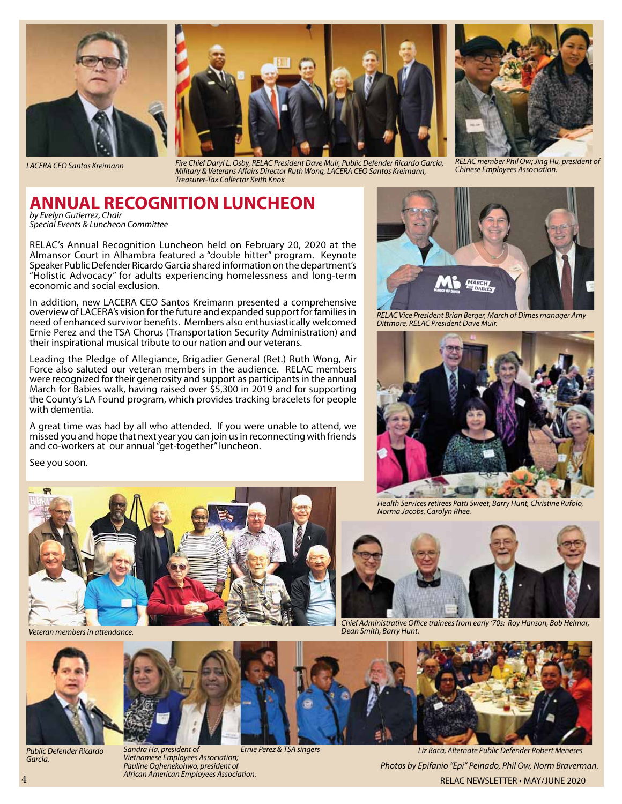



*LACERA CEO Santos Kreimann Fire Chief Daryl L. Osby, RELAC President Dave Muir, Public Defender Ricardo Garcia, Military & Veterans Affairs Director Ruth Wong, LACERA CEO Santos Kreimann, Treasurer-Tax Collector Keith Knox*



*RELAC member Phil Ow; Jing Hu, president of Chinese Employees Association.* 

#### **ANNUAL RECOGNITION LUNCHEON** *by Evelyn Gutierrez, Chair*

*Special Events & Luncheon Committee*

RELAC's Annual Recognition Luncheon held on February 20, 2020 at the Almansor Court in Alhambra featured a "double hitter" program. Keynote Speaker Public Defender Ricardo Garcia shared information on the department's "Holistic Advocacy" for adults experiencing homelessness and long-term economic and social exclusion.

In addition, new LACERA CEO Santos Kreimann presented a comprehensive overview of LACERA's vision for the future and expanded support for families in need of enhanced survivor benefits. Members also enthusiastically welcomed Ernie Perez and the TSA Chorus (Transportation Security Administration) and their inspirational musical tribute to our nation and our veterans.

Leading the Pledge of Allegiance, Brigadier General (Ret.) Ruth Wong, Air Force also saluted our veteran members in the audience. RELAC members were recognized for their generosity and support as participants in the annual March for Babies walk, having raised over \$5,300 in 2019 and for supporting the County's LA Found program, which provides tracking bracelets for people with dementia.

A great time was had by all who attended. If you were unable to attend, we missed you and hope that next year you can join us in reconnecting with friends and co-workers at our annual "get-together" luncheon.

See you soon.



*Sandra Ha, president of* 

*Vietnamese Employees Association; Pauline Oghenekohwo, president of African American Employees Association.* 

*Veteran members in attendance.*



*Public Defender Ricardo Garcia.*



*Ernie Perez & TSA singers*



*RELAC Vice President Brian Berger, March of Dimes manager Amy Dittmore, RELAC President Dave Muir.*



*Health Services retirees Patti Sweet, Barry Hunt, Christine Rufolo, Norma Jacobs, Carolyn Rhee.* 



*Chief Administrative Office trainees from early '70s: Roy Hanson, Bob Helmar, Dean Smith, Barry Hunt.*



4 RELAC NEWSLETTER • May/June 2020 *Liz Baca, Alternate Public Defender Robert Meneses Photos by Epifanio "Epi" Peinado, Phil Ow, Norm Braverman.*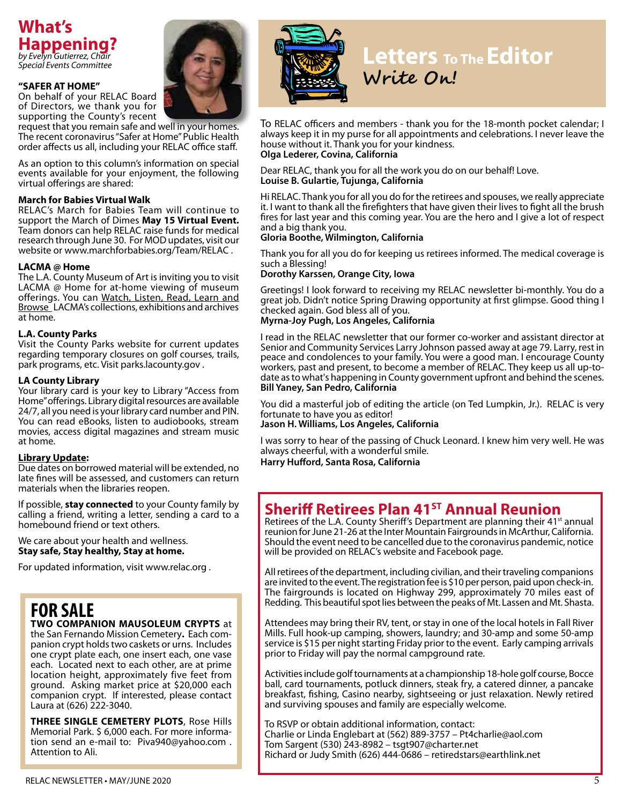

#### **"SAFER AT HOME"**

On behalf of your RELAC Board of Directors, we thank you for supporting the County's recent

request that you remain safe and well in your homes. The recent coronavirus "Safer at Home" Public Health order affects us all, including your RELAC office staff.

As an option to this column's information on special events available for your enjoyment, the following virtual offerings are shared:

#### **March for Babies Virtual Walk**

RELAC's March for Babies Team will continue to support the March of Dimes **May 15 Virtual Event.** Team donors can help RELAC raise funds for medical research through June 30. For MOD updates, visit our website or www.marchforbabies.org/Team/RELAC .

#### **LACMA @ Home**

The L.A. County Museum of Art is inviting you to visit LACMA @ Home for at-home viewing of museum offerings. You can Watch, Listen, Read, Learn and **Browse** LACMA's collections, exhibitions and archives at home.

#### **L.A. County Parks**

Visit the County Parks website for current updates regarding temporary closures on golf courses, trails, park programs, etc. Visit parks.lacounty.gov .

#### **LA County Library**

Your library card is your key to Library "Access from Home" offerings. Library digital resources are available 24/7, all you need is your library card number and PIN. You can read eBooks, listen to audiobooks, stream movies, access digital magazines and stream music at home.

#### **Library Update:**

Due dates on borrowed material will be extended, no late fines will be assessed, and customers can return materials when the libraries reopen.

If possible, **stay connected** to your County family by calling a friend, writing a letter, sending a card to a homebound friend or text others.

#### We care about your health and wellness. **Stay safe, Stay healthy, Stay at home.**

For updated information, visit www.relac.org .

# **FOR SALE TWO COMPANION MAUSOLEUM CRYPTS** at

the San Fernando Mission Cemetery**.** Each com- panion crypt holds two caskets or urns. Includes one crypt plate each, one insert each, one vase each. Located next to each other, are at prime location height, approximately five feet from ground. Asking market price at \$20,000 each companion crypt. If interested, please contact Laura at (626) 222-3040.

**THREE SINGLE CEMETERY PLOTS**, Rose Hills Memorial Park. \$ 6,000 each. For more information send an e-mail to: Piva940@yahoo.com . Attention to Ali.



# **Letters To The Editor Write On!**

To RELAC officers and members - thank you for the 18-month pocket calendar; I always keep it in my purse for all appointments and celebrations. I never leave the house without it. Thank you for your kindness. **Olga Lederer, Covina, California**

Dear RELAC, thank you for all the work you do on our behalf! Love. **Louise B. Gulartie, Tujunga, California**

Hi RELAC. Thank you for all you do for the retirees and spouses, we really appreciate it. I want to thank all the firefighters that have given their lives to fight all the brush fires for last year and this coming year. You are the hero and I give a lot of respect and a big thank you.

#### **Gloria Boothe, Wilmington, California**

Thank you for all you do for keeping us retirees informed. The medical coverage is such a Blessing!

#### **Dorothy Karssen, Orange City, Iowa**

Greetings! I look forward to receiving my RELAC newsletter bi-monthly. You do a great job. Didn't notice Spring Drawing opportunity at first glimpse. Good thing I checked again. God bless all of you.

#### **Myrna-Joy Pugh, Los Angeles, California**

I read in the RELAC newsletter that our former co-worker and assistant director at Senior and Community Services Larry Johnson passed away at age 79. Larry, rest in peace and condolences to your family. You were a good man. I encourage County workers, past and present, to become a member of RELAC. They keep us all up-todate as to what's happening in County government upfront and behind the scenes. **Bill Yaney, San Pedro, California**

You did a masterful job of editing the article (on Ted Lumpkin, Jr.). RELAC is very fortunate to have you as editor!

**Jason H. Williams, Los Angeles, California** 

I was sorry to hear of the passing of Chuck Leonard. I knew him very well. He was always cheerful, with a wonderful smile.

**Harry Hufford, Santa Rosa, California**

## **Sheriff Retirees Plan 41<sup>ST</sup> Annual Reunion**

Retirees of the L.A. County Sheriff's Department are planning their 41<sup>st</sup> annual reunion for June 21-26 at the Inter Mountain Fairgrounds in McArthur, California. Should the event need to be cancelled due to the coronavirus pandemic, notice will be provided on RELAC's website and Facebook page.

All retirees of the department, including civilian, and their traveling companions are invited to the event. The registration fee is \$10 per person, paid upon check-in. The fairgrounds is located on Highway 299, approximately 70 miles east of Redding. This beautiful spot lies between the peaks of Mt. Lassen and Mt. Shasta.

Attendees may bring their RV, tent, or stay in one of the local hotels in Fall River Mills. Full hook-up camping, showers, laundry; and 30-amp and some 50-amp service is \$15 per night starting Friday prior to the event. Early camping arrivals prior to Friday will pay the normal campground rate.

Activities include golf tournaments at a championship 18-hole golf course, Bocce ball, card tournaments, potluck dinners, steak fry, a catered dinner, a pancake breakfast, fishing, Casino nearby, sightseeing or just relaxation. Newly retired and surviving spouses and family are especially welcome.

To RSVP or obtain additional information, contact: Charlie or Linda Englebart at (562) 889-3757 – Pt4charlie@aol.com Tom Sargent (530) 243-8982 – tsgt907@charter.net Richard or Judy Smith (626) 444-0686 – retiredstars@earthlink.net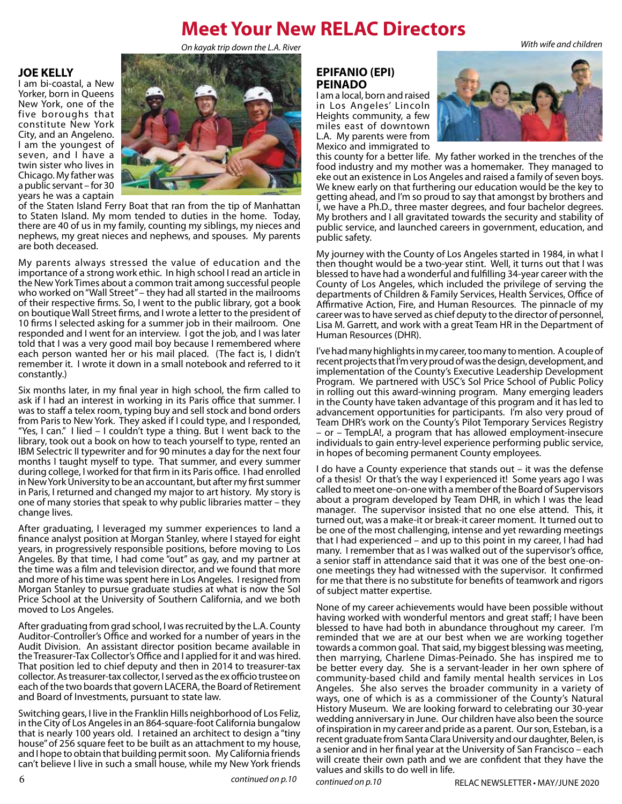## **Meet Your New RELAC Directors**

*On kayak trip down the L.A. River With wife and children*

#### **JOE KELLY**

I am bi-coastal, a New Yorker, born in Queens New York, one of the five boroughs that constitute New York City, and an Angeleno. I am the youngest of seven, and I have a twin sister who lives in Chicago. My father was a public servant – for 30 years he was a captain



of the Staten Island Ferry Boat that ran from the tip of Manhattan to Staten Island. My mom tended to duties in the home. Today, there are 40 of us in my family, counting my siblings, my nieces and nephews, my great nieces and nephews, and spouses. My parents are both deceased.

My parents always stressed the value of education and the importance of a strong work ethic. In high school I read an article in the New York Times about a common trait among successful people who worked on "Wall Street" – they had all started in the mailrooms of their respective firms. So, I went to the public library, got a book on boutique Wall Street firms, and I wrote a letter to the president of 10 firms I selected asking for a summer job in their mailroom. One responded and I went for an interview. I got the job, and I was later told that I was a very good mail boy because I remembered where each person wanted her or his mail placed. (The fact is, I didn't remember it. I wrote it down in a small notebook and referred to it constantly.)

Six months later, in my final year in high school, the firm called to ask if I had an interest in working in its Paris office that summer. I was to staff a telex room, typing buy and sell stock and bond orders from Paris to New York. They asked if I could type, and I responded, "Yes, I can." I lied – I couldn't type a thing. But I went back to the library, took out a book on how to teach yourself to type, rented an IBM Selectric II typewriter and for 90 minutes a day for the next four months I taught myself to type. That summer, and every summer during college, I worked for that firm in its Paris office. I had enrolled in New York University to be an accountant, but after my first summer in Paris, I returned and changed my major to art history. My story is one of many stories that speak to why public libraries matter – they change lives.

After graduating, I leveraged my summer experiences to land a finance analyst position at Morgan Stanley, where I stayed for eight years, in progressively responsible positions, before moving to Los Angeles. By that time, I had come "out" as gay, and my partner at the time was a film and television director, and we found that more and more of his time was spent here in Los Angeles. I resigned from Morgan Stanley to pursue graduate studies at what is now the Sol Price School at the University of Southern California, and we both moved to Los Angeles.

After graduating from grad school, I was recruited by the L.A. County Auditor-Controller's Office and worked for a number of years in the Audit Division. An assistant director position became available in the Treasurer-Tax Collector's Office and I applied for it and was hired. That position led to chief deputy and then in 2014 to treasurer-tax collector. As treasurer-tax collector, I served as the ex officio trustee on each of the two boards that govern LACERA, the Board of Retirement and Board of Investments, pursuant to state law.

Switching gears, I live in the Franklin Hills neighborhood of Los Feliz, in the City of Los Angeles in an 864-square-foot California bungalow that is nearly 100 years old. I retained an architect to design a "tiny house" of 256 square feet to be built as an attachment to my house, and I hope to obtain that building permit soon. My California friends can't believe I live in such a small house, while my New York friends **EPIFANIO (EPI) PEINADO**

I am a local, born and raised in Los Angeles' Lincoln Heights community, a few miles east of downtown L.A. My parents were from Mexico and immigrated to



this county for a better life. My father worked in the trenches of the food industry and my mother was a homemaker. They managed to eke out an existence in Los Angeles and raised a family of seven boys. We knew early on that furthering our education would be the key to getting ahead, and I'm so proud to say that amongst by brothers and I, we have a Ph.D., three master degrees, and four bachelor degrees. My brothers and I all gravitated towards the security and stability of public service, and launched careers in government, education, and public safety.

My journey with the County of Los Angeles started in 1984, in what I then thought would be a two-year stint. Well, it turns out that I was blessed to have had a wonderful and fulfilling 34-year career with the County of Los Angeles, which included the privilege of serving the departments of Children & Family Services, Health Services, Office of Affirmative Action, Fire, and Human Resources. The pinnacle of my career was to have served as chief deputy to the director of personnel, Lisa M. Garrett, and work with a great Team HR in the Department of Human Resources (DHR).

I've had many highlights in my career, too many to mention. A couple of recent projects that I'm very proud of was the design, development, and implementation of the County's Executive Leadership Development Program. We partnered with USC's Sol Price School of Public Policy in rolling out this award-winning program. Many emerging leaders in the County have taken advantage of this program and it has led to advancement opportunities for participants. I'm also very proud of Team DHR's work on the County's Pilot Temporary Services Registry – or – TempLA!, a program that has allowed employment-insecure individuals to gain entry-level experience performing public service, in hopes of becoming permanent County employees.

I do have a County experience that stands out – it was the defense of a thesis! Or that's the way I experienced it! Some years ago I was called to meet one-on-one with a member of the Board of Supervisors about a program developed by Team DHR, in which I was the lead manager. The supervisor insisted that no one else attend. This, it turned out, was a make-it or break-it career moment. It turned out to be one of the most challenging, intense and yet rewarding meetings that I had experienced – and up to this point in my career, I had had many. I remember that as I was walked out of the supervisor's office, a senior staff in attendance said that it was one of the best one-onone meetings they had witnessed with the supervisor. It confirmed for me that there is no substitute for benefits of teamwork and rigors of subject matter expertise.

None of my career achievements would have been possible without having worked with wonderful mentors and great staff; I have been blessed to have had both in abundance throughout my career. I'm reminded that we are at our best when we are working together towards a common goal. That said, my biggest blessing was meeting, then marrying, Charlene Dimas-Peinado. She has inspired me to be better every day. She is a servant-leader in her own sphere of community-based child and family mental health services in Los Angeles. She also serves the broader community in a variety of ways, one of which is as a commissioner of the County's Natural History Museum. We are looking forward to celebrating our 30-year wedding anniversary in June. Our children have also been the source of inspiration in my career and pride as a parent. Our son, Esteban, is a recent graduate from Santa Clara University and our daughter, Belen, is a senior and in her final year at the University of San Francisco – each will create their own path and we are confident that they have the values and skills to do well in life.

*continued on p.10*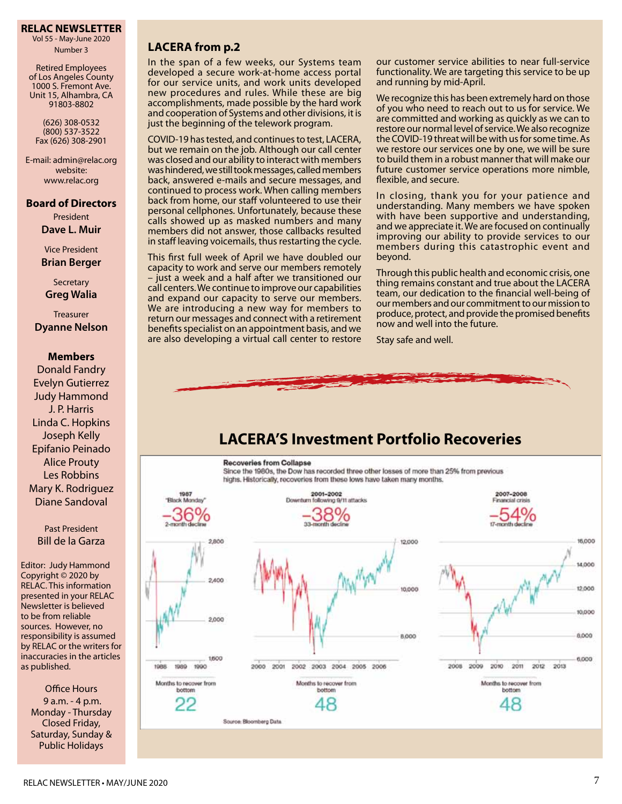#### **RELAC NEWSLETTER**

Vol 55 - May-June 2020 Number 3

Retired Employees of Los Angeles County 1000 S. Fremont Ave. Unit 15, Alhambra, CA 91803-8802

(626) 308-0532 (800) 537-3522 Fax (626) 308-2901

E-mail: admin@relac.org website: www.relac.org

#### **Board of Directors**

President **Dave L. Muir**

Vice President **Brian Berger**

**Secretary Greg Walia**

**Treasurer Dyanne Nelson**

#### **Members**

Donald Fandry Evelyn Gutierrez Judy Hammond J. P. Harris Linda C. Hopkins Joseph Kelly Epifanio Peinado Alice Prouty Les Robbins Mary K. Rodriguez Diane Sandoval

Past President Bill de la Garza

Editor: Judy Hammond Copyright © 2020 by RELAC. This information presented in your RELAC Newsletter is believed to be from reliable sources. However, no responsibility is assumed by RELAC or the writers for inaccuracies in the articles as published.

Office Hours 9 a.m. - 4 p.m. Monday - Thursday Closed Friday, Saturday, Sunday & Public Holidays

#### LACERA from p.2

In the span of a few weeks, our Systems team developed a secure work-at-home access portal for our service units, and work units developed new procedures and rules. While these are big accomplishments, made possible by the hard work and cooperation of Systems and other divisions, it is just the beginning of the telework program.

COVID-19 has tested, and continues to test, LACERA, but we remain on the job. Although our call center was closed and our ability to interact with members was hindered, we still took messages, called members back, answered e-mails and secure messages, and continued to process work. When calling members back from home, our staff volunteered to use their personal cellphones. Unfortunately, because these calls showed up as masked numbers and many members did not answer, those callbacks resulted in staff leaving voicemails, thus restarting the cycle.

This first full week of April we have doubled our capacity to work and serve our members remotely – just a week and a half after we transitioned our call centers. We continue to improve our capabilities and expand our capacity to serve our members. We are introducing a new way for members to return our messages and connect with a retirement benefits specialist on an appointment basis, and we are also developing a virtual call center to restore our customer service abilities to near full-service functionality. We are targeting this service to be up and running by mid-April.

We recognize this has been extremely hard on those of you who need to reach out to us for service. We are committed and working as quickly as we can to restore our normal level of service. We also recognize the COVID-19 threat will be with us for some time. As we restore our services one by one, we will be sure to build them in a robust manner that will make our future customer service operations more nimble, flexible, and secure.

In closing, thank you for your patience and understanding. Many members we have spoken with have been supportive and understanding, and we appreciate it. We are focused on continually improving our ability to provide services to our members during this catastrophic event and beyond.

Through this public health and economic crisis, one thing remains constant and true about the LACERA team, our dedication to the financial well-being of our members and our commitment to our mission to produce, protect, and provide the promised benefits now and well into the future.

Stay safe and well.



## **LACERA'S Investment Portfolio Recoveries**

#### **Recoveries from Collapse**

Since the 1980s, the Dow has recorded three other losses of more than 25% from previous highs. Historically, recoveries from these lows have taken many months.

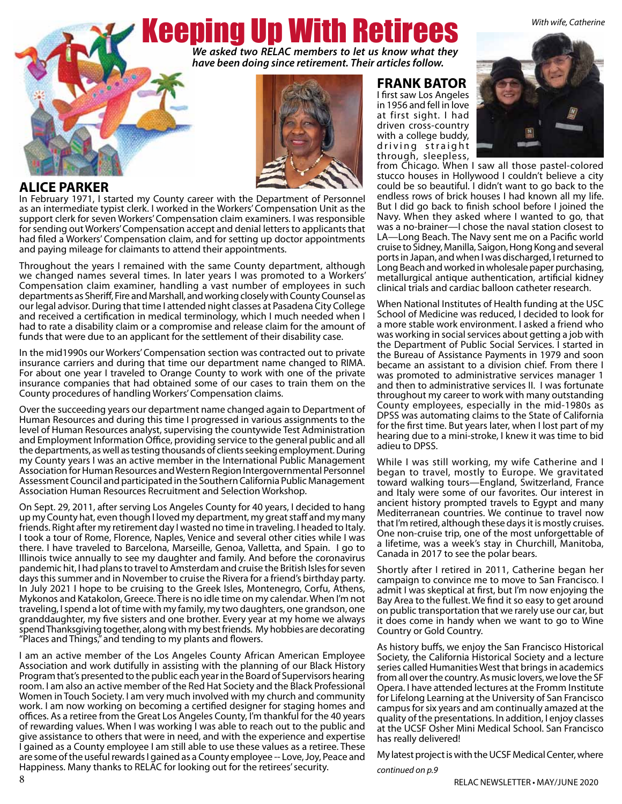*With wife, Catherine*

# Keeping Up With Retirees

*We asked two RELAC members to let us know what they have been doing since retirement. Their articles follow.*



#### **ALICE PARKER**

In February 1971, I started my County career with the Department of Personnel as an intermediate typist clerk. I worked in the Workers' Compensation Unit as the support clerk for seven Workers' Compensation claim examiners. I was responsible for sending out Workers' Compensation accept and denial letters to applicants that had filed a Workers' Compensation claim, and for setting up doctor appointments and paying mileage for claimants to attend their appointments.

Throughout the years I remained with the same County department, although we changed names several times. In later years I was promoted to a Workers' Compensation claim examiner, handling a vast number of employees in such departments as Sheriff, Fire and Marshall, and working closely with County Counsel as our legal advisor. During that time I attended night classes at Pasadena City College and received a certification in medical terminology, which I much needed when I had to rate a disability claim or a compromise and release claim for the amount of funds that were due to an applicant for the settlement of their disability case.

In the mid1990s our Workers' Compensation section was contracted out to private insurance carriers and during that time our department name changed to RIMA. For about one year I traveled to Orange County to work with one of the private insurance companies that had obtained some of our cases to train them on the County procedures of handling Workers' Compensation claims.

Over the succeeding years our department name changed again to Department of Human Resources and during this time I progressed in various assignments to the level of Human Resources analyst, supervising the countywide Test Administration and Employment Information Office, providing service to the general public and all the departments, as well as testing thousands of clients seeking employment. During my County years I was an active member in the International Public Management Association for Human Resources and Western Region Intergovernmental Personnel Assessment Council and participated in the Southern California Public Management Association Human Resources Recruitment and Selection Workshop.

On Sept. 29, 2011, after serving Los Angeles County for 40 years, I decided to hang up my County hat, even though I loved my department, my great staff and my many friends. Right after my retirement day I wasted no time in traveling. I headed to Italy. I took a tour of Rome, Florence, Naples, Venice and several other cities while I was there. I have traveled to Barcelona, Marseille, Genoa, Valletta, and Spain. I go to Illinois twice annually to see my daughter and family. And before the coronavirus pandemic hit, I had plans to travel to Amsterdam and cruise the British Isles for seven days this summer and in November to cruise the Rivera for a friend's birthday party. In July 2021 I hope to be cruising to the Greek Isles, Montenegro, Corfu, Athens, Mykonos and Katakolon, Greece. There is no idle time on my calendar. When I'm not traveling, I spend a lot of time with my family, my two daughters, one grandson, one granddaughter, my five sisters and one brother. Every year at my home we always spend Thanksgiving together, along with my best friends. My hobbies are decorating "Places and Things," and tending to my plants and flowers.

I am an active member of the Los Angeles County African American Employee Association and work dutifully in assisting with the planning of our Black History Program that's presented to the public each year in the Board of Supervisors hearing room. I am also an active member of the Red Hat Society and the Black Professional Women in Touch Society. I am very much involved with my church and community work. I am now working on becoming a certified designer for staging homes and offices. As a retiree from the Great Los Angeles County, I'm thankful for the 40 years of rewarding values. When I was working I was able to reach out to the public and give assistance to others that were in need, and with the experience and expertise I gained as a County employee I am still able to use these values as a retiree. These are some of the useful rewards I gained as a County employee -- Love, Joy, Peace and Happiness. Many thanks to RELAC for looking out for the retirees' security. *continued on p.9*

#### **FRANK BATOR**

I first saw Los Angeles in 1956 and fell in love at first sight. I had driven cross-country with a college buddy, d riving straight through, sleepless,



from Chicago. When I saw all those pastel-colored stucco houses in Hollywood I couldn't believe a city could be so beautiful. I didn't want to go back to the endless rows of brick houses I had known all my life. But I did go back to finish school before I joined the Navy. When they asked where I wanted to go, that was a no-brainer—I chose the naval station closest to LA—Long Beach. The Navy sent me on a Pacific world cruise to Sidney, Manilla, Saigon, Hong Kong and several ports in Japan, and when I was discharged, I returned to Long Beach and worked in wholesale paper purchasing, metallurgical antique authentication, artificial kidney clinical trials and cardiac balloon catheter research.

When National Institutes of Health funding at the USC School of Medicine was reduced, I decided to look for a more stable work environment. I asked a friend who was working in social services about getting a job with the Department of Public Social Services. I started in the Bureau of Assistance Payments in 1979 and soon became an assistant to a division chief. From there I was promoted to administrative services manager 1 and then to administrative services II. I was fortunate throughout my career to work with many outstanding County employees, especially in the mid-1980s as DPSS was automating claims to the State of California for the first time. But years later, when I lost part of my hearing due to a mini-stroke, I knew it was time to bid adieu to DPSS.

While I was still working, my wife Catherine and I began to travel, mostly to Europe. We gravitated toward walking tours—England, Switzerland, France and Italy were some of our favorites. Our interest in ancient history prompted travels to Egypt and many Mediterranean countries. We continue to travel now that I'm retired, although these days it is mostly cruises. One non-cruise trip, one of the most unforgettable of a lifetime, was a week's stay in Churchill, Manitoba, Canada in 2017 to see the polar bears.

Shortly after I retired in 2011, Catherine began her campaign to convince me to move to San Francisco. I admit I was skeptical at first, but I'm now enjoying the Bay Area to the fullest. We find it so easy to get around on public transportation that we rarely use our car, but it does come in handy when we want to go to Wine Country or Gold Country.

As history buffs, we enjoy the San Francisco Historical Society, the California Historical Society and a lecture series called Humanities West that brings in academics from all over the country. As music lovers, we love the SF Opera. I have attended lectures at the Fromm Institute for Lifelong Learning at the University of San Francisco campus for six years and am continually amazed at the quality of the presentations. In addition, I enjoy classes at the UCSF Osher Mini Medical School. San Francisco has really delivered!

My latest project is with the UCSF Medical Center, where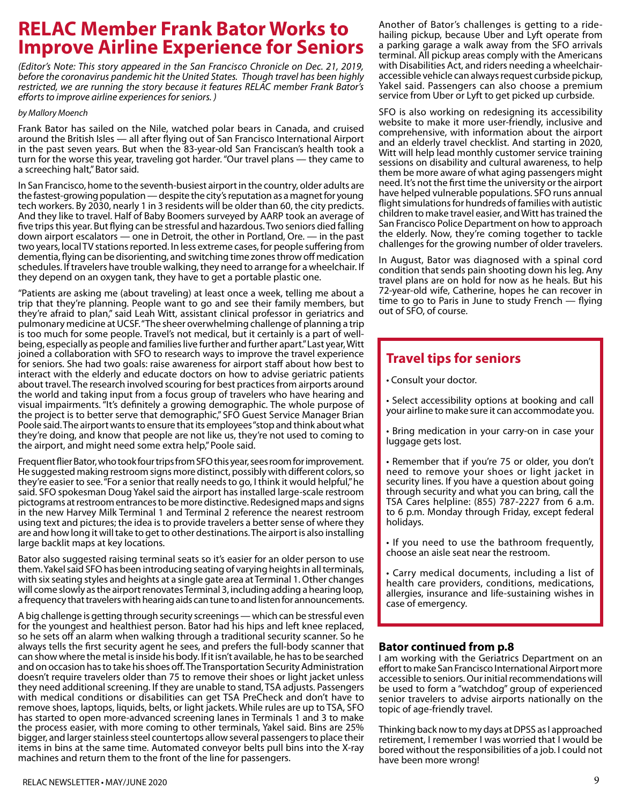# **RELAC Member Frank Bator Works to Improve Airline Experience for Seniors**

*(Editor's Note: This story appeared in the San Francisco Chronicle on Dec. 21, 2019, before the coronavirus pandemic hit the United States. Though travel has been highly restricted, we are running the story because it features RELAC member Frank Bator's efforts to improve airline experiences for seniors. )*

#### *by Mallory Moench*

Frank Bator has sailed on the Nile, watched polar bears in Canada, and cruised around the British Isles — all after flying out of San Francisco International Airport in the past seven years. But when the 83-year-old San Franciscan's health took a turn for the worse this year, traveling got harder. "Our travel plans — they came to a screeching halt," Bator said.

In San Francisco, home to the seventh-busiest airport in the country, older adults are the fastest-growing population — despite the city's reputation as a magnet for young tech workers. By 2030, nearly 1 in 3 residents will be older than 60, the city predicts. And they like to travel. Half of Baby Boomers surveyed by AARP took an average of five trips this year. But flying can be stressful and hazardous. Two seniors died falling down airport escalators — one in Detroit, the other in Portland, Ore. — in the past two years, local TV stations reported. In less extreme cases, for people suffering from dementia, flying can be disorienting, and switching time zones throw off medication schedules. If travelers have trouble walking, they need to arrange for a wheelchair. If they depend on an oxygen tank, they have to get a portable plastic one.

"Patients are asking me (about traveling) at least once a week, telling me about a trip that they're planning. People want to go and see their family members, but they're afraid to plan," said Leah Witt, assistant clinical professor in geriatrics and pulmonary medicine at UCSF. "The sheer overwhelming challenge of planning a trip is too much for some people. Travel's not medical, but it certainly is a part of wellbeing, especially as people and families live further and further apart." Last year, Witt joined a collaboration with SFO to research ways to improve the travel experience for seniors. She had two goals: raise awareness for airport staff about how best to interact with the elderly and educate doctors on how to advise geriatric patients about travel. The research involved scouring for best practices from airports around the world and taking input from a focus group of travelers who have hearing and visual impairments. "It's definitely a growing demographic. The whole purpose of the project is to better serve that demographic," SFO Guest Service Manager Brian Poole said. The airport wants to ensure that its employees "stop and think about what they're doing, and know that people are not like us, they're not used to coming to the airport, and might need some extra help," Poole said.

Frequent flier Bator, who took four trips from SFO this year, sees room for improvement. He suggested making restroom signs more distinct, possibly with different colors, so they're easier to see. "For a senior that really needs to go, I think it would helpful," he said. SFO spokesman Doug Yakel said the airport has installed large-scale restroom pictograms at restroom entrances to be more distinctive. Redesigned maps and signs in the new Harvey Milk Terminal 1 and Terminal 2 reference the nearest restroom using text and pictures; the idea is to provide travelers a better sense of where they are and how long it will take to get to other destinations. The airport is also installing large backlit maps at key locations.

Bator also suggested raising terminal seats so it's easier for an older person to use them. Yakel said SFO has been introducing seating of varying heights in all terminals, with six seating styles and heights at a single gate area at Terminal 1. Other changes will come slowly as the airport renovates Terminal 3, including adding a hearing loop, a frequency that travelers with hearing aids can tune to and listen for announcements.

A big challenge is getting through security screenings — which can be stressful even for the youngest and healthiest person. Bator had his hips and left knee replaced, so he sets off an alarm when walking through a traditional security scanner. So he always tells the first security agent he sees, and prefers the full-body scanner that can show where the metal is inside his body. If it isn't available, he has to be searched and on occasion has to take his shoes off. The Transportation Security Administration doesn't require travelers older than 75 to remove their shoes or light jacket unless they need additional screening. If they are unable to stand, TSA adjusts. Passengers with medical conditions or disabilities can get TSA PreCheck and don't have to remove shoes, laptops, liquids, belts, or light jackets. While rules are up to TSA, SFO has started to open more-advanced screening lanes in Terminals 1 and 3 to make the process easier, with more coming to other terminals, Yakel said. Bins are 25% bigger, and larger stainless steel countertops allow several passengers to place their items in bins at the same time. Automated conveyor belts pull bins into the X-ray machines and return them to the front of the line for passengers.

Another of Bator's challenges is getting to a ridehailing pickup, because Uber and Lyft operate from a parking garage a walk away from the SFO arrivals terminal. All pickup areas comply with the Americans with Disabilities Act, and riders needing a wheelchairaccessible vehicle can always request curbside pickup, Yakel said. Passengers can also choose a premium service from Uber or Lyft to get picked up curbside.

SFO is also working on redesigning its accessibility website to make it more user-friendly, inclusive and comprehensive, with information about the airport and an elderly travel checklist. And starting in 2020, Witt will help lead monthly customer service training sessions on disability and cultural awareness, to help them be more aware of what aging passengers might need. It's not the first time the university or the airport have helped vulnerable populations. SFO runs annual flight simulations for hundreds of families with autistic children to make travel easier, and Witt has trained the San Francisco Police Department on how to approach the elderly. Now, they're coming together to tackle challenges for the growing number of older travelers.

In August, Bator was diagnosed with a spinal cord condition that sends pain shooting down his leg. Any travel plans are on hold for now as he heals. But his 72-year-old wife, Catherine, hopes he can recover in time to go to Paris in June to study French — flying out of SFO, of course.

## **Travel tips for seniors**

• Consult your doctor.

• Select accessibility options at booking and call your airline to make sure it can accommodate you.

• Bring medication in your carry-on in case your luggage gets lost.

• Remember that if you're 75 or older, you don't need to remove your shoes or light jacket in security lines. If you have a question about going through security and what you can bring, call the TSA Cares helpline: (855) 787-2227 from 6 a.m. to 6 p.m. Monday through Friday, except federal holidays.

• If you need to use the bathroom frequently, choose an aisle seat near the restroom.

• Carry medical documents, including a list of health care providers, conditions, medications, allergies, insurance and life-sustaining wishes in case of emergency.

#### **Bator continued from p.8**

I am working with the Geriatrics Department on an effort to make San Francisco International Airport more accessible to seniors. Our initial recommendations will be used to form a "watchdog" group of experienced senior travelers to advise airports nationally on the topic of age-friendly travel.

Thinking back now to my days at DPSS as I approached retirement, I remember I was worried that I would be bored without the responsibilities of a job. I could not have been more wrong!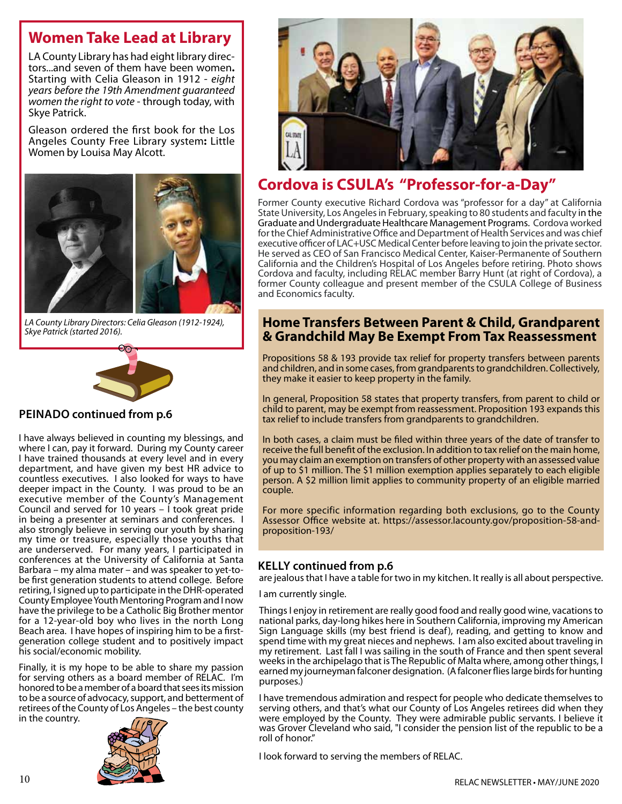## **Women Take Lead at Library**

LA County Library has had eight library direc- tors...and seven of them have been women**.** Starting with Celia Gleason in 1912 - *eight years before the 19th Amendment guaranteed women the right to vote* - through today, with Skye Patrick.

Gleason ordered the first book for the Los Angeles County Free Library system**:** Little Women by Louisa May Alcott.



*LA County Library Directors: Celia Gleason (1912-1924),* 



#### **Peinado continued from p.6**

I have always believed in counting my blessings, and where I can, pay it forward. During my County career I have trained thousands at every level and in every department, and have given my best HR advice to countless executives. I also looked for ways to have deeper impact in the County. I was proud to be an executive member of the County's Management Council and served for 10 years  $-$  i took great pride in being a presenter at seminars and conferences. I also strongly believe in serving our youth by sharing my time or treasure, especially those youths that are underserved. For many years, I participated in conferences at the University of California at Santa Barbara – my alma mater – and was speaker to yet-tobe first generation students to attend college. Before retiring, I signed up to participate in the DHR-operated County Employee Youth Mentoring Program and I now have the privilege to be a Catholic Big Brother mentor for a 12-year-old boy who lives in the north Long Beach area. I have hopes of inspiring him to be a firstgeneration college student and to positively impact his social/economic mobility.

Finally, it is my hope to be able to share my passion for serving others as a board member of RELAC. I'm honored to be a member of a board that sees its mission to be a source of advocacy, support, and betterment of retirees of the County of Los Angeles – the best county in the country.





## **Cordova is CSULA's "Professor-for-a-Day"**

Former County executive Richard Cordova was "professor for a day" at California State University, Los Angeles in February, speaking to 80 students and faculty in the Graduate and Undergraduate Healthcare Management Programs. Cordova worked for the Chief Administrative Office and Department of Health Services and was chief executive officer of LAC+USC Medical Center before leaving to join the private sector. He served as CEO of San Francisco Medical Center, Kaiser-Permanente of Southern California and the Children's Hospital of Los Angeles before retiring. Photo shows Cordova and faculty, including RELAC member Barry Hunt (at right of Cordova), a former County colleague and present member of the CSULA College of Business and Economics faculty.

#### *Skye Patrick (started 2016).* **Home Transfers Between Parent & Child, Grandparent & Grandchild May Be Exempt From Tax Reassessment**

Propositions 58 & 193 provide tax relief for property transfers between parents and children, and in some cases, from grandparents to grandchildren. Collectively, they make it easier to keep property in the family.

In general, Proposition 58 states that property transfers, from parent to child or child to parent, may be exempt from reassessment. Proposition 193 expands this tax relief to include transfers from grandparents to grandchildren.

In both cases, a claim must be filed within three years of the date of transfer to receive the full benefit of the exclusion. In addition to tax relief on the main home, you may claim an exemption on transfers of other property with an assessed value of up to \$1 million. The \$1 million exemption applies separately to each eligible person. A \$2 million limit applies to community property of an eligible married couple.

For more specific information regarding both exclusions, go to the County Assessor Office website at. https://assessor.lacounty.gov/proposition-58-andproposition-193/

#### **Kelly continued from p.6**

are jealous that I have a table for two in my kitchen. It really is all about perspective.

I am currently single.

Things I enjoy in retirement are really good food and really good wine, vacations to national parks, day-long hikes here in Southern California, improving my American Sign Language skills (my best friend is deaf), reading, and getting to know and spend time with my great nieces and nephews. I am also excited about traveling in my retirement. Last fall I was sailing in the south of France and then spent several weeks in the archipelago that is The Republic of Malta where, among other things, I earned my journeyman falconer designation. (A falconer flies large birds for hunting purposes.)

I have tremendous admiration and respect for people who dedicate themselves to serving others, and that's what our County of Los Angeles retirees did when they were employed by the County. They were admirable public servants. I believe it was Grover Cleveland who said, "I consider the pension list of the republic to be a roll of honor."

I look forward to serving the members of RELAC.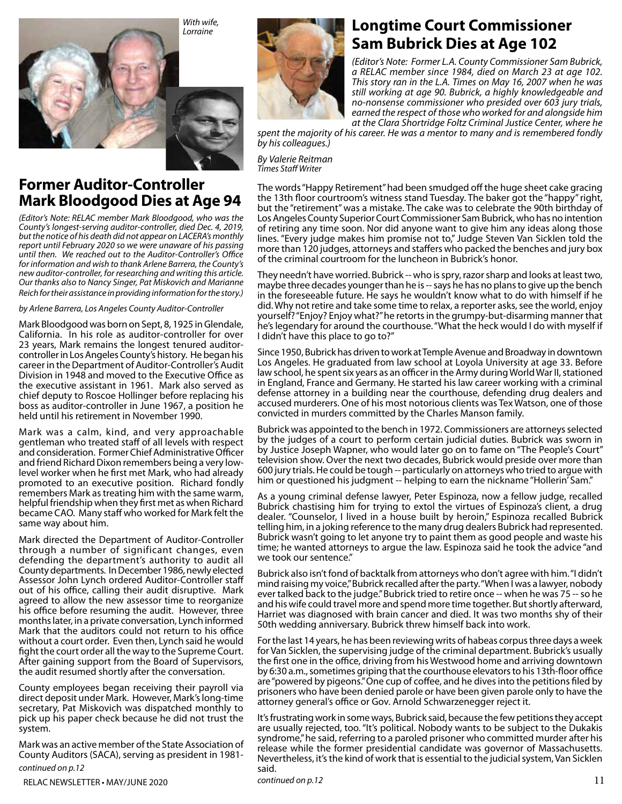

## **Former Auditor-Controller Mark Bloodgood Dies at Age 94**

*(Editor's Note: RELAC member Mark Bloodgood, who was the County's longest-serving auditor-controller, died Dec. 4, 2019, but the notice of his death did not appear on LACERA's monthly report until February 2020 so we were unaware of his passing until then. We reached out to the Auditor-Controller's Office for information and wish to thank Arlene Barrera, the County's new auditor-controller, for researching and writing this article. Our thanks also to Nancy Singer, Pat Miskovich and Marianne Reich for their assistance in providing information for the story.)*

*by Arlene Barrera, Los Angeles County Auditor-Controller*

Mark Bloodgood was born on Sept, 8, 1925 in Glendale, California. In his role as auditor-controller for over 23 years, Mark remains the longest tenured auditorcontroller in Los Angeles County's history. He began his career in the Department of Auditor-Controller's Audit Division in 1948 and moved to the Executive Office as the executive assistant in 1961. Mark also served as chief deputy to Roscoe Hollinger before replacing his boss as auditor-controller in June 1967, a position he held until his retirement in November 1990.

Mark was a calm, kind, and very approachable gentleman who treated staff of all levels with respect and consideration. Former Chief Administrative Officer and friend Richard Dixon remembers being a very lowlevel worker when he first met Mark, who had already promoted to an executive position. Richard fondly remembers Mark as treating him with the same warm, helpful friendship when they first met as when Richard became CAO. Many staff who worked for Mark felt the same way about him.

Mark directed the Department of Auditor-Controller through a number of significant changes, even defending the department's authority to audit all County departments. In December 1986, newly elected Assessor John Lynch ordered Auditor-Controller staff out of his office, calling their audit disruptive. Mark agreed to allow the new assessor time to reorganize his office before resuming the audit. However, three months later, in a private conversation, Lynch informed Mark that the auditors could not return to his office without a court order. Even then, Lynch said he would fight the court order all the way to the Supreme Court. After gaining support from the Board of Supervisors, the audit resumed shortly after the conversation.

County employees began receiving their payroll via direct deposit under Mark. However, Mark's long-time secretary, Pat Miskovich was dispatched monthly to pick up his paper check because he did not trust the system.

Mark was an active member of the State Association of County Auditors (SACA), serving as president in 1981 *continued on p.12*



## **Longtime Court Commissioner Sam Bubrick Dies at Age 102**

*(Editor's Note: Former L.A. County Commissioner Sam Bubrick, a RELAC member since 1984, died on March 23 at age 102. This story ran in the L.A. Times on May 16, 2007 when he was still working at age 90. Bubrick, a highly knowledgeable and no-nonsense commissioner who presided over 603 jury trials, earned the respect of those who worked for and alongside him at the Clara Shortridge Foltz Criminal Justice Center, where he* 

*spent the majority of his career. He was a mentor to many and is remembered fondly by his colleagues.)* 

 *By Valerie Reitman Times Staff Writer*

The words "Happy Retirement" had been smudged off the huge sheet cake gracing the 13th floor courtroom's witness stand Tuesday. The baker got the "happy" right, but the "retirement" was a mistake. The cake was to celebrate the 90th birthday of Los Angeles County Superior Court Commissioner Sam Bubrick, who has no intention of retiring any time soon. Nor did anyone want to give him any ideas along those lines. "Every judge makes him promise not to," Judge Steven Van Sicklen told the more than 120 judges, attorneys and staffers who packed the benches and jury box of the criminal courtroom for the luncheon in Bubrick's honor.

They needn't have worried. Bubrick -- who is spry, razor sharp and looks at least two, maybe three decades younger than he is -- says he has no plans to give up the bench in the foreseeable future. He says he wouldn't know what to do with himself if he did. Why not retire and take some time to relax, a reporter asks, see the world, enjoy yourself? "Enjoy? Enjoy what?" he retorts in the grumpy-but-disarming manner that he's legendary for around the courthouse. "What the heck would I do with myself if I didn't have this place to go to?"

Since 1950, Bubrick has driven to work at Temple Avenue and Broadway in downtown Los Angeles. He graduated from law school at Loyola University at age 33. Before law school, he spent six years as an officer in the Army during World War II, stationed in England, France and Germany. He started his law career working with a criminal defense attorney in a building near the courthouse, defending drug dealers and accused murderers. One of his most notorious clients was Tex Watson, one of those convicted in murders committed by the Charles Manson family.

Bubrick was appointed to the bench in 1972. Commissioners are attorneys selected by the judges of a court to perform certain judicial duties. Bubrick was sworn in by Justice Joseph Wapner, who would later go on to fame on "The People's Court" television show. Over the next two decades, Bubrick would preside over more than 600 jury trials. He could be tough -- particularly on attorneys who tried to argue with him or questioned his judgment -- helping to earn the nickname "Hollerin' Sam."

As a young criminal defense lawyer, Peter Espinoza, now a fellow judge, recalled Bubrick chastising him for trying to extol the virtues of Espinoza's client, a drug dealer. "Counselor, I lived in a house built by heroin," Espinoza recalled Bubrick telling him, in a joking reference to the many drug dealers Bubrick had represented. Bubrick wasn't going to let anyone try to paint them as good people and waste his time; he wanted attorneys to argue the law. Espinoza said he took the advice "and we took our sentence."

Bubrick also isn't fond of backtalk from attorneys who don't agree with him. "I didn't mind raising my voice," Bubrick recalled after the party. "When I was a lawyer, nobody ever talked back to the judge." Bubrick tried to retire once -- when he was 75 -- so he and his wife could travel more and spend more time together. But shortly afterward, Harriet was diagnosed with brain cancer and died. It was two months shy of their 50th wedding anniversary. Bubrick threw himself back into work.

For the last 14 years, he has been reviewing writs of habeas corpus three days a week for Van Sicklen, the supervising judge of the criminal department. Bubrick's usually the first one in the office, driving from his Westwood home and arriving downtown by 6:30 a.m., sometimes griping that the courthouse elevators to his 13th-floor office are "powered by pigeons." One cup of coffee, and he dives into the petitions filed by prisoners who have been denied parole or have been given parole only to have the attorney general's office or Gov. Arnold Schwarzenegger reject it.

It's frustrating work in some ways, Bubrick said, because the few petitions they accept are usually rejected, too. "It's political. Nobody wants to be subject to the Dukakis syndrome," he said, referring to a paroled prisoner who committed murder after his release while the former presidential candidate was governor of Massachusetts. Nevertheless, it's the kind of work that is essential to the judicial system, Van Sicklen said.

RELAC NEWSLETTER • MAY/JUNE 2020 **continued on p.12 continued on p.12** 11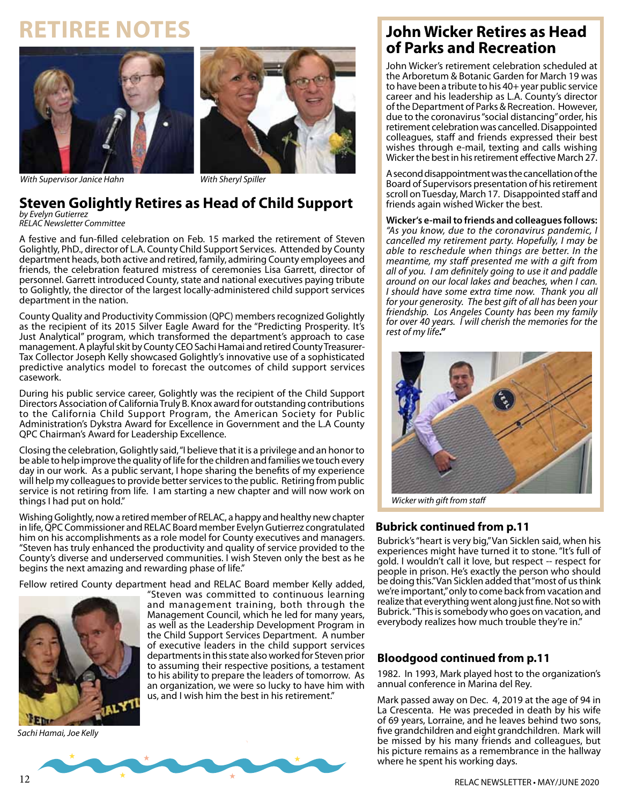# **Retiree Notes**





*With Supervisor Janice Hahn With Sheryl Spiller*

#### **Steven Golightly Retires as Head of Child Support**  *by Evelyn Gutierrez*

*RELAC Newsletter Committee*

A festive and fun-filled celebration on Feb. 15 marked the retirement of Steven Golightly, PhD., director of L.A. County Child Support Services. Attended by County department heads, both active and retired, family, admiring County employees and friends, the celebration featured mistress of ceremonies Lisa Garrett, director of personnel. Garrett introduced County, state and national executives paying tribute to Golightly, the director of the largest locally-administered child support services department in the nation.

County Quality and Productivity Commission (QPC) members recognized Golightly as the recipient of its 2015 Silver Eagle Award for the "Predicting Prosperity. It's Just Analytical" program, which transformed the department's approach to case management. A playful skit by County CEO Sachi Hamai and retired County Treasurer-Tax Collector Joseph Kelly showcased Golightly's innovative use of a sophisticated predictive analytics model to forecast the outcomes of child support services casework.

During his public service career, Golightly was the recipient of the Child Support Directors Association of California Truly B. Knox award for outstanding contributions to the California Child Support Program, the American Society for Public Administration's Dykstra Award for Excellence in Government and the L.A County QPC Chairman's Award for Leadership Excellence.

Closing the celebration, Golightly said, "I believe that it is a privilege and an honor to be able to help improve the quality of life for the children and families we touch every day in our work. As a public servant, I hope sharing the benefits of my experience will help my colleagues to provide better services to the public. Retiring from public service is not retiring from life. I am starting a new chapter and will now work on things I had put on hold."

Wishing Golightly, now a retired member of RELAC, a happy and healthy new chapter in life, QPC Commissioner and RELAC Board member Evelyn Gutierrez congratulated him on his accomplishments as a role model for County executives and managers. "Steven has truly enhanced the productivity and quality of service provided to the County's diverse and underserved communities. I wish Steven only the best as he begins the next amazing and rewarding phase of life."

Fellow retired County department head and RELAC Board member Kelly added,



*Sachi Hamai, Joe Kelly*

"Steven was committed to continuous learning and management training, both through the Management Council, which he led for many years, as well as the Leadership Development Program in the Child Support Services Department. A number of executive leaders in the child support services departments in this state also worked for Steven prior to assuming their respective positions, a testament to his ability to prepare the leaders of tomorrow. As an organization, we were so lucky to have him with us, and I wish him the best in his retirement."



John Wicker's retirement celebration scheduled at the Arboretum & Botanic Garden for March 19 was to have been a tribute to his 40+ year public service career and his leadership as L.A. County's director of the Department of Parks & Recreation. However, due to the coronavirus "social distancing" order, his retirement celebration was cancelled. Disappointed colleagues, staff and friends expressed their best wishes through e-mail, texting and calls wishing Wicker the best in his retirement effective March 27.

A second disappointment was the cancellation of the Board of Supervisors presentation of his retirement scroll on Tuesday, March 17. Disappointed staff and friends again wished Wicker the best.

#### **Wicker's e-mail to friends and colleagues follows:**

*"As you know, due to the coronavirus pandemic, I cancelled my retirement party. Hopefully, I may be able to reschedule when things are better. In the meantime, my staff presented me with a gift from all of you. I am definitely going to use it and paddle around on our local lakes and beaches, when I can. I should have some extra time now. Thank you all for your generosity. The best gift of all has been your friendship. Los Angeles County has been my family for over 40 years. I will cherish the memories for the rest of my life."* 



*Wicker with gift from staff*

#### **Bubrick continued from p.11**

Bubrick's "heart is very big," Van Sicklen said, when his experiences might have turned it to stone. "It's full of gold. I wouldn't call it love, but respect -- respect for people in prison. He's exactly the person who should be doing this." Van Sicklen added that "most of us think we're important," only to come back from vacation and realize that everything went along just fine. Not so with Bubrick. "This is somebody who goes on vacation, and everybody realizes how much trouble they're in."

#### **Bloodgood continued from p.11**

1982. In 1993, Mark played host to the organization's annual conference in Marina del Rey.

Mark passed away on Dec. 4, 2019 at the age of 94 in La Crescenta. He was preceded in death by his wife of 69 years, Lorraine, and he leaves behind two sons, five grandchildren and eight grandchildren. Mark will be missed by his many friends and colleagues, but his picture remains as a remembrance in the hallway where he spent his working days.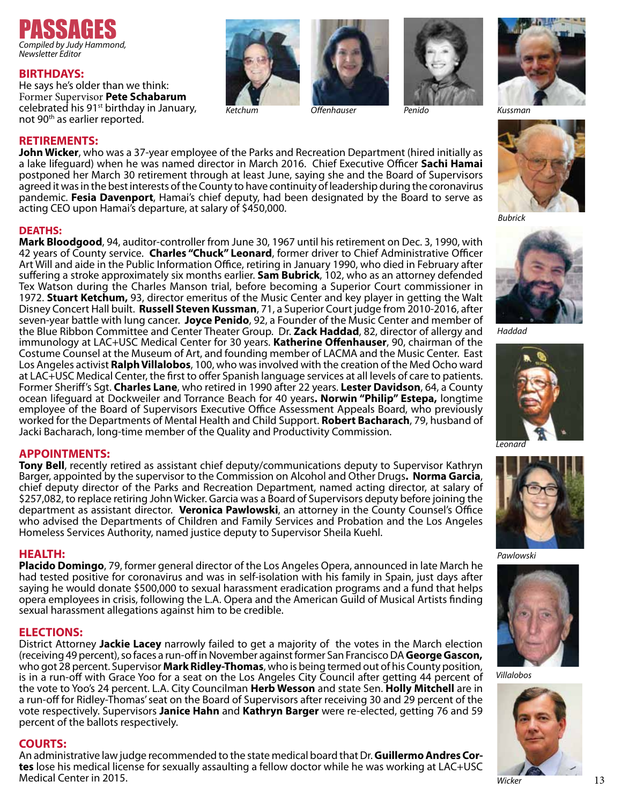

#### **BIRTHDAYS:**

He says he's older than we think: Former Supervisor **Pete Schabarum** celebrated his 91st birthday in January, not 90th as earlier reported.















*Bubrick*



*Haddad*



*Leonard* 



*Pawlowski*



*Villalobos*



**RETIREMENTS: John Wicker**, who was a 37-year employee of the Parks and Recreation Department (hired initially as a lake lifeguard) when he was named director in March 2016. Chief Executive Officer **Sachi Hamai** postponed her March 30 retirement through at least June, saying she and the Board of Supervisors agreed it was in the best interests of the County to have continuity of leadership during the coronavirus pandemic. **Fesia Davenport**, Hamai's chief deputy, had been designated by the Board to serve as acting CEO upon Hamai's departure, at salary of \$450,000.

#### **DEATHS:**

**Mark Bloodgood**, 94, auditor-controller from June 30, 1967 until his retirement on Dec. 3, 1990, with 42 years of County service. **Charles "Chuck" Leonard**, former driver to Chief Administrative Officer Art Will and aide in the Public Information Office, retiring in January 1990, who died in February after suffering a stroke approximately six months earlier. **Sam Bubrick**, 102, who as an attorney defended Tex Watson during the Charles Manson trial, before becoming a Superior Court commissioner in 1972. **Stuart Ketchum,** 93, director emeritus of the Music Center and key player in getting the Walt Disney Concert Hall built. **Russell Steven Kussman**, 71, a Superior Court judge from 2010-2016, after seven-year battle with lung cancer. **Joyce Penido**, 92, a Founder of the Music Center and member of the Blue Ribbon Committee and Center Theater Group. Dr. **Zack Haddad**, 82, director of allergy and immunology at LAC+USC Medical Center for 30 years. **Katherine Offenhauser**, 90, chairman of the Costume Counsel at the Museum of Art, and founding member of LACMA and the Music Center. East Los Angeles activist **Ralph Villalobos**, 100, who was involved with the creation of the Med Ocho ward at LAC+USC Medical Center, the first to offer Spanish language services at all levels of care to patients. Former Sheriff's Sgt. **Charles Lane**, who retired in 1990 after 22 years. **Lester Davidson**, 64, a County ocean lifeguard at Dockweiler and Torrance Beach for 40 years**. Norwin "Philip" Estepa,** longtime employee of the Board of Supervisors Executive Office Assessment Appeals Board, who previously worked for the Departments of Mental Health and Child Support. **Robert Bacharach**, 79, husband of Jacki Bacharach, long-time member of the Quality and Productivity Commission.

#### **APPOINTMENTS:**

**Tony Bell**, recently retired as assistant chief deputy/communications deputy to Supervisor Kathryn<br>Barger, appointed by the supervisor to the Commission on Alcohol and Other Drugs**. Norma Garcia**, chief deputy director of the Parks and Recreation Department, named acting director, at salary of \$257,082, to replace retiring John Wicker. Garcia was a Board of Supervisors deputy before joining the department as assistant director. **Veronica Pawlowski**, an attorney in the County Counsel's Office who advised the Departments of Children and Family Services and Probation and the Los Angeles Homeless Services Authority, named justice deputy to Supervisor Sheila Kuehl.

#### **HEALTH:**

**Placido Domingo**, 79, former general director of the Los Angeles Opera, announced in late March he had tested positive for coronavirus and was in self-isolation with his family in Spain, just days after saying he would donate \$500,000 to sexual harassment eradication programs and a fund that helps opera employees in crisis, following the L.A. Opera and the American Guild of Musical Artists finding sexual harassment allegations against him to be credible.

#### **ELECTIONS:**

District Attorney **Jackie Lacey** narrowly failed to get a majority of the votes in the March election (receiving 49 percent), so faces a run-off in November against former San Francisco DA **George Gascon,**  who got 28 percent. Supervisor **Mark Ridley-Thomas**, who is being termed out of his County position, is in a run-off with Grace Yoo for a seat on the Los Angeles City Council after getting 44 percent of the vote to Yoo's 24 percent. L.A. City Councilman **Herb Wesson** and state Sen. **Holly Mitchell** are in a run-off for Ridley-Thomas' seat on the Board of Supervisors after receiving 30 and 29 percent of the vote respectively. Supervisors **Janice Hahn** and **Kathryn Barger** were re-elected, getting 76 and 59 percent of the ballots respectively.

#### **COURTS:**

An administrative law judge recommended to the state medical board that Dr. **Guillermo Andres Cor- tes** lose his medical license for sexually assaulting a fellow doctor while he was working at LAC+USC Medical Center in 2015.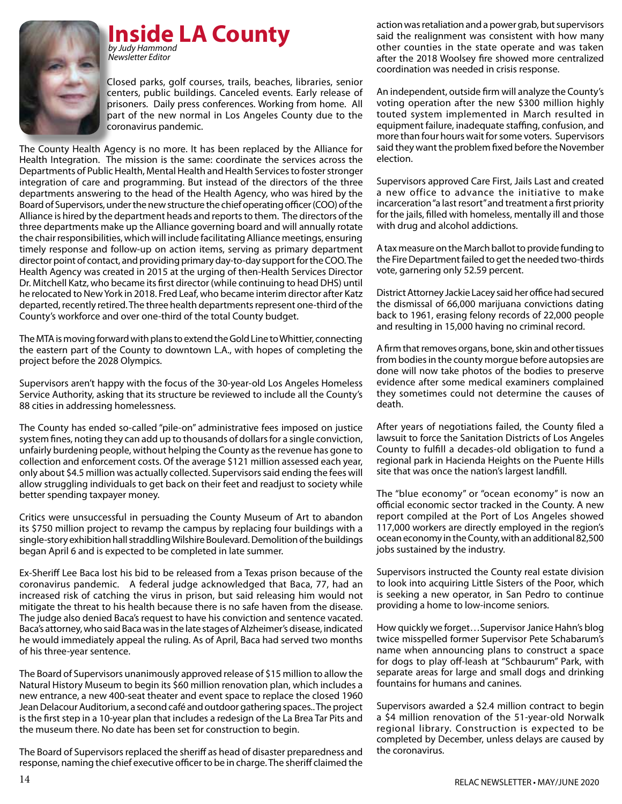

#### **Inside LA County** *by Judy Hammond*

Closed parks, golf courses, trails, beaches, libraries, senior centers, public buildings. Canceled events. Early release of prisoners. Daily press conferences. Working from home. All part of the new normal in Los Angeles County due to the coronavirus pandemic.

The County Health Agency is no more. It has been replaced by the Alliance for Health Integration. The mission is the same: coordinate the services across the Departments of Public Health, Mental Health and Health Services to foster stronger integration of care and programming. But instead of the directors of the three departments answering to the head of the Health Agency, who was hired by the Board of Supervisors, under the new structure the chief operating officer (COO) of the Alliance is hired by the department heads and reports to them. The directors of the three departments make up the Alliance governing board and will annually rotate the chair responsibilities, which will include facilitating Alliance meetings, ensuring timely response and follow-up on action items, serving as primary department director point of contact, and providing primary day-to-day support for the COO. The Health Agency was created in 2015 at the urging of then-Health Services Director Dr. Mitchell Katz, who became its first director (while continuing to head DHS) until he relocated to New York in 2018. Fred Leaf, who became interim director after Katz departed, recently retired. The three health departments represent one-third of the County's workforce and over one-third of the total County budget.

The MTA is moving forward with plans to extend the Gold Line to Whittier, connecting the eastern part of the County to downtown L.A., with hopes of completing the project before the 2028 Olympics.

Supervisors aren't happy with the focus of the 30-year-old Los Angeles Homeless Service Authority, asking that its structure be reviewed to include all the County's 88 cities in addressing homelessness.

The County has ended so-called "pile-on" administrative fees imposed on justice system fines, noting they can add up to thousands of dollars for a single conviction, unfairly burdening people, without helping the County as the revenue has gone to collection and enforcement costs. Of the average \$121 million assessed each year, only about \$4.5 million was actually collected. Supervisors said ending the fees will allow struggling individuals to get back on their feet and readjust to society while better spending taxpayer money.

Critics were unsuccessful in persuading the County Museum of Art to abandon its \$750 million project to revamp the campus by replacing four buildings with a single-story exhibition hall straddling Wilshire Boulevard. Demolition of the buildings began April 6 and is expected to be completed in late summer.

Ex-Sheriff Lee Baca lost his bid to be released from a Texas prison because of the coronavirus pandemic. A federal judge acknowledged that Baca, 77, had an increased risk of catching the virus in prison, but said releasing him would not mitigate the threat to his health because there is no safe haven from the disease. The judge also denied Baca's request to have his conviction and sentence vacated. Baca's attorney, who said Baca was in the late stages of Alzheimer's disease, indicated he would immediately appeal the ruling. As of April, Baca had served two months of his three-year sentence.

The Board of Supervisors unanimously approved release of \$15 million to allow the Natural History Museum to begin its \$60 million renovation plan, which includes a new entrance, a new 400-seat theater and event space to replace the closed 1960 Jean Delacour Auditorium, a second café and outdoor gathering spaces.. The project is the first step in a 10-year plan that includes a redesign of the La Brea Tar Pits and the museum there. No date has been set for construction to begin.

The Board of Supervisors replaced the sheriff as head of disaster preparedness and response, naming the chief executive officer to be in charge. The sheriff claimed the

action was retaliation and a power grab, but supervisors said the realignment was consistent with how many other counties in the state operate and was taken after the 2018 Woolsey fire showed more centralized coordination was needed in crisis response.

An independent, outside firm will analyze the County's voting operation after the new \$300 million highly touted system implemented in March resulted in equipment failure, inadequate staffing, confusion, and more than four hours wait for some voters. Supervisors said they want the problem fixed before the November election.

Supervisors approved Care First, Jails Last and created a new office to advance the initiative to make incarceration "a last resort" and treatment a first priority for the jails, filled with homeless, mentally ill and those with drug and alcohol addictions.

A tax measure on the March ballot to provide funding to the Fire Department failed to get the needed two-thirds vote, garnering only 52.59 percent.

District Attorney Jackie Lacey said her office had secured the dismissal of 66,000 marijuana convictions dating back to 1961, erasing felony records of 22,000 people and resulting in 15,000 having no criminal record.

A firm that removes organs, bone, skin and other tissues from bodies in the county morgue before autopsies are done will now take photos of the bodies to preserve evidence after some medical examiners complained they sometimes could not determine the causes of death.

After years of negotiations failed, the County filed a lawsuit to force the Sanitation Districts of Los Angeles County to fulfill a decades-old obligation to fund a regional park in Hacienda Heights on the Puente Hills site that was once the nation's largest landfill.

The "blue economy" or "ocean economy" is now an official economic sector tracked in the County. A new report compiled at the Port of Los Angeles showed 117,000 workers are directly employed in the region's ocean economy in the County, with an additional 82,500 jobs sustained by the industry.

Supervisors instructed the County real estate division to look into acquiring Little Sisters of the Poor, which is seeking a new operator, in San Pedro to continue providing a home to low-income seniors.

How quickly we forget…Supervisor Janice Hahn's blog twice misspelled former Supervisor Pete Schabarum's name when announcing plans to construct a space for dogs to play off-leash at "Schbaurum" Park, with separate areas for large and small dogs and drinking fountains for humans and canines.

Supervisors awarded a \$2.4 million contract to begin a \$4 million renovation of the 51-year-old Norwalk regional library. Construction is expected to be completed by December, unless delays are caused by the coronavirus.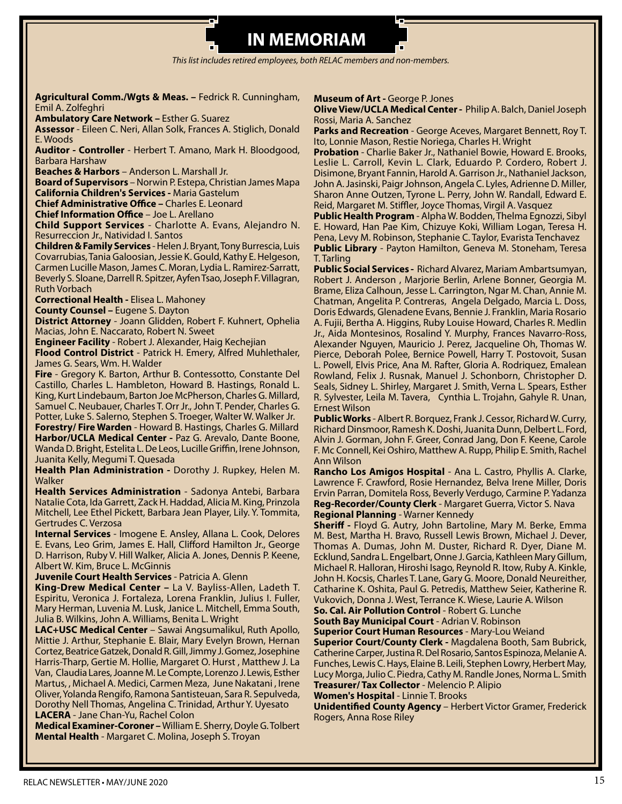# **IN MEMORIAM**

*This list includes retired employees, both RELAC members and non-members.*

**Agricultural Comm./Wgts & Meas. –** Fedrick R. Cunningham, Emil A. Zolfeghri

**Ambulatory Care Network –** Esther G. Suarez

**Assessor** - Eileen C. Neri, Allan Solk, Frances A. Stiglich, Donald E. Woods

**Auditor - Controller** - Herbert T. Amano, Mark H. Bloodgood, Barbara Harshaw

**Beaches & Harbors** – Anderson L. Marshall Jr.

**Board of Supervisors** – Norwin P. Estepa, Christian James Mapa **California Children's Services -** Maria Gastelum

**Chief Administrative Office –** Charles E. Leonard

**Chief Information Office** – Joe L. Arellano

**Child Support Services** - Charlotte A. Evans, Alejandro N. Resurreccion Jr., Natividad I. Santos

**Children & Family Services** - Helen J. Bryant, Tony Burrescia, Luis Covarrubias, Tania Galoosian, Jessie K. Gould, Kathy E. Helgeson, Carmen Lucille Mason, James C. Moran, Lydia L. Ramirez-Sarratt, Beverly S. Sloane, Darrell R. Spitzer, Ayfen Tsao, Joseph F. Villagran, Ruth Vorbach

**Correctional Health -** Elisea L. Mahoney

**County Counsel –** Eugene S. Dayton

**District Attorney** - Joann Glidden, Robert F. Kuhnert, Ophelia Macias, John E. Naccarato, Robert N. Sweet

**Engineer Facility** - Robert J. Alexander, Haig Kechejian

**Flood Control District** - Patrick H. Emery, Alfred Muhlethaler, James G. Sears, Wm. H. Walder

**Fire** - Gregory K. Barton, Arthur B. Contessotto, Constante Del Castillo, Charles L. Hambleton, Howard B. Hastings, Ronald L. King, Kurt Lindebaum, Barton Joe McPherson, Charles G. Millard, Samuel C. Neubauer, Charles T. Orr Jr., John T. Pender, Charles G. Potter, Luke S. Salerno, Stephen S. Troeger, Walter W. Walker Jr.

**Forestry/ Fire Warden** - Howard B. Hastings, Charles G. Millard **Harbor/UCLA Medical Center -** Paz G. Arevalo, Dante Boone, Wanda D. Bright, Estelita L. De Leos, Lucille Griffin, Irene Johnson, Juanita Kelly, Megumi T. Quesada

**Health Plan Administration -** Dorothy J. Rupkey, Helen M. Walker

**Health Services Administration** - Sadonya Antebi, Barbara Natalie Cota, Ida Garrett, Zack H. Haddad, Alicia M. King, Prinzola Mitchell, Lee Ethel Pickett, Barbara Jean Player, Lily. Y. Tommita, Gertrudes C. Verzosa

**Internal Services** - Imogene E. Ansley, Allana L. Cook, Delores E. Evans, Leo Grim, James E. Hall, Clifford Hamilton Jr., George D. Harrison, Ruby V. Hill Walker, Alicia A. Jones, Dennis P. Keene, Albert W. Kim, Bruce L. McGinnis

**Juvenile Court Health Services** - Patricia A. Glenn

**King-Drew Medical Center –** La V. Bayliss-Allen, Ladeth T. Espiritu, Veronica J. Fortaleza, Lorena Franklin, Julius I. Fuller, Mary Herman, Luvenia M. Lusk, Janice L. Mitchell, Emma South, Julia B. Wilkins, John A. Williams, Benita L. Wright

**LAC+USC Medical Center** – Sawai Angsumalikul, Ruth Apollo, Mittie J. Arthur, Stephanie E. Blair, Mary Evelyn Brown, Hernan Cortez, Beatrice Gatzek, Donald R. Gill, Jimmy J. Gomez, Josephine Harris-Tharp, Gertie M. Hollie, Margaret O. Hurst , Matthew J. La Van, Claudia Lares, Joanne M. Le Compte, Lorenzo J. Lewis, Esther Martus, , Michael A. Medici, Carmen Meza, June Nakatani , Irene Oliver, Yolanda Rengifo, Ramona Santisteuan, Sara R. Sepulveda, Dorothy Nell Thomas, Angelina C. Trinidad, Arthur Y. Uyesato **LACERA** - Jane Chan-Yu, Rachel Colon

**Medical Examiner-Coroner –** William E. Sherry, Doyle G. Tolbert **Mental Health** - Margaret C. Molina, Joseph S. Troyan

#### **Museum of Art - George P. Jones**

**Olive View/UCLA Medical Center -** Philip A. Balch, Daniel Joseph Rossi, Maria A. Sanchez

**Parks and Recreation** - George Aceves, Margaret Bennett, Roy T. Ito, Lonnie Mason, Restie Noriega, Charles H. Wright

**Probation** - Charlie Baker Jr., Nathaniel Bowie, Howard E. Brooks, Leslie L. Carroll, Kevin L. Clark, Eduardo P. Cordero, Robert J. Disimone, Bryant Fannin, Harold A. Garrison Jr., Nathaniel Jackson, John A. Jasinski, Paigr Johnson, Angela C. Lyles, Adrienne D. Miller, Sharon Anne Outzen, Tyrone L. Perry, John W. Randall, Edward E. Reid, Margaret M. Stiffler, Joyce Thomas, Virgil A. Vasquez

**Public Health Program** - Alpha W. Bodden, Thelma Egnozzi, Sibyl E. Howard, Han Pae Kim, Chizuye Koki, William Logan, Teresa H. Pena, Levy M. Robinson, Stephanie C. Taylor, Evarista Tenchavez **Public Library** - Payton Hamilton, Geneva M. Stoneham, Teresa T. Tarling

**Public Social Services -** Richard Alvarez, Mariam Ambartsumyan, Robert J. Anderson , Marjorie Berlin, Arlene Bonner, Georgia M. Brame, Eliza Calhoun, Jesse L. Carrington, Ngar M. Chan, Annie M. Chatman, Angelita P. Contreras, Angela Delgado, Marcia L. Doss, Doris Edwards, Glenadene Evans, Bennie J. Franklin, Maria Rosario A. Fujii, Bertha A. Higgins, Ruby Louise Howard, Charles R. Medlin Jr., Aida Montesinos, Rosalind Y. Murphy, Frances Navarro-Ross, Alexander Nguyen, Mauricio J. Perez, Jacqueline Oh, Thomas W. Pierce, Deborah Polee, Bernice Powell, Harry T. Postovoit, Susan L. Powell, Elvis Price, Ana M. Rafter, Gloria A. Rodriquez, Emalean Rowland, Felix J. Rusnak, Manuel J. Schonborn, Christopher D. Seals, Sidney L. Shirley, Margaret J. Smith, Verna L. Spears, Esther R. Sylvester, Leila M. Tavera, Cynthia L. Trojahn, Gahyle R. Unan, Ernest Wilson

**Public Works** - Albert R. Borquez, Frank J. Cessor, Richard W. Curry, Richard Dinsmoor, Ramesh K. Doshi, Juanita Dunn, Delbert L. Ford, Alvin J. Gorman, John F. Greer, Conrad Jang, Don F. Keene, Carole F. Mc Connell, Kei Oshiro, Matthew A. Rupp, Philip E. Smith, Rachel Ann Wilson

**Rancho Los Amigos Hospital** - Ana L. Castro, Phyllis A. Clarke, Lawrence F. Crawford, Rosie Hernandez, Belva Irene Miller, Doris Ervin Parran, Domitela Ross, Beverly Verdugo, Carmine P. Yadanza **Reg-Recorder/County Clerk** - Margaret Guerra, Victor S. Nava **Regional Planning** - Warner Kennedy

**Sheriff -** Floyd G. Autry, John Bartoline, Mary M. Berke, Emma M. Best, Martha H. Bravo, Russell Lewis Brown, Michael J. Dever, Thomas A. Dumas, John M. Duster, Richard R. Dyer, Diane M. Ecklund, Sandra L. Engelbart, Onne J. Garcia, Kathleen Mary Gillum, Michael R. Halloran, Hiroshi Isago, Reynold R. Itow, Ruby A. Kinkle, John H. Kocsis, Charles T. Lane, Gary G. Moore, Donald Neureither, Catharine K. Oshita, Paul G. Petredis, Matthew Seier, Katherine R. Vukovich, Donna J. West, Terrance K. Wiese, Laurie A. Wilson

**So. Cal. Air Pollution Control** - Robert G. Lunche

**South Bay Municipal Court** - Adrian V. Robinson

**Superior Court Human Resources** - Mary-Lou Weiand

**Superior Court/County Clerk -** Magdalena Booth, Sam Bubrick, Catherine Carper, Justina R. Del Rosario, Santos Espinoza, Melanie A. Funches, Lewis C. Hays, Elaine B. Leili, Stephen Lowry, Herbert May, Lucy Morga, Julio C. Piedra, Cathy M. Randle Jones, Norma L. Smith **Treasurer/ Tax Collector** - Melencio P. Alipio

**Women's Hospital** - Linnie T. Brooks

**Unidentified County Agency** – Herbert Victor Gramer, Frederick Rogers, Anna Rose Riley